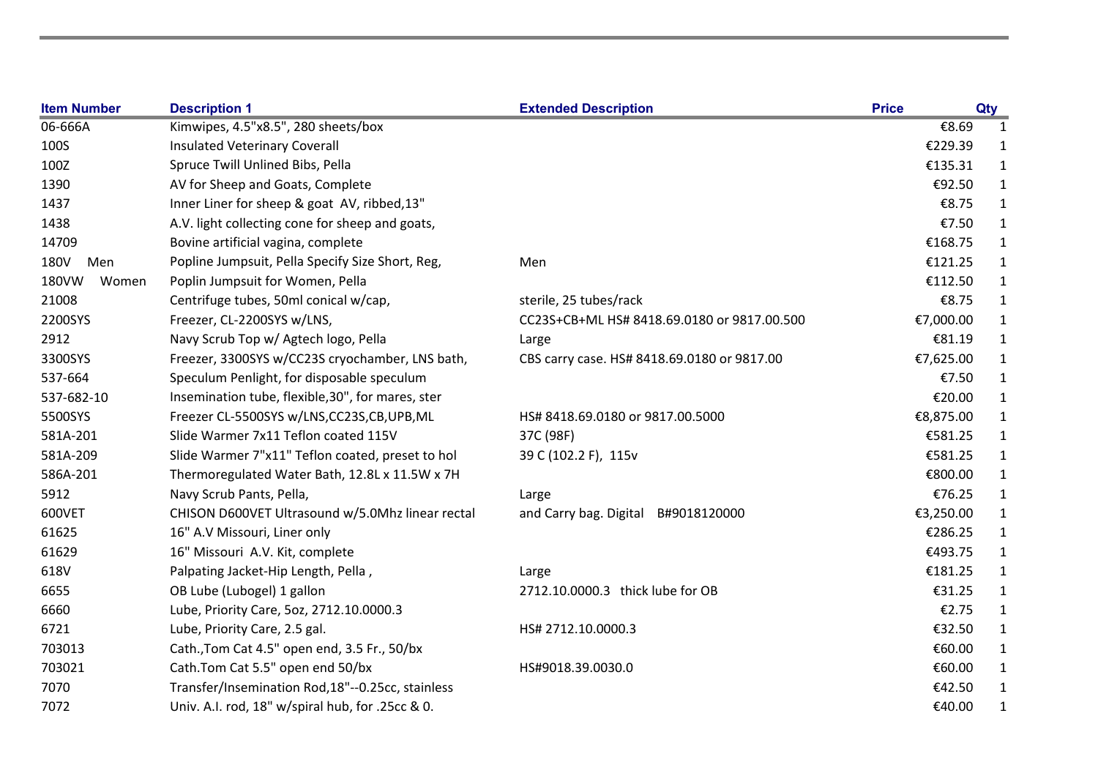| <b>Item Number</b> | <b>Description 1</b>                              | <b>Extended Description</b>                 | <b>Price</b> |           | Qty          |
|--------------------|---------------------------------------------------|---------------------------------------------|--------------|-----------|--------------|
| 06-666A            | Kimwipes, 4.5"x8.5", 280 sheets/box               |                                             |              | €8.69     | 1            |
| 100S               | <b>Insulated Veterinary Coverall</b>              |                                             |              | €229.39   | 1            |
| 100Z               | Spruce Twill Unlined Bibs, Pella                  |                                             |              | €135.31   | 1            |
| 1390               | AV for Sheep and Goats, Complete                  |                                             |              | €92.50    | $\mathbf{1}$ |
| 1437               | Inner Liner for sheep & goat AV, ribbed, 13"      |                                             |              | €8.75     | 1            |
| 1438               | A.V. light collecting cone for sheep and goats,   |                                             |              | €7.50     | $\mathbf{1}$ |
| 14709              | Bovine artificial vagina, complete                |                                             |              | €168.75   | $\mathbf{1}$ |
| 180V<br>Men        | Popline Jumpsuit, Pella Specify Size Short, Reg,  | Men                                         |              | €121.25   | 1            |
| 180VW<br>Women     | Poplin Jumpsuit for Women, Pella                  |                                             |              | €112.50   | 1            |
| 21008              | Centrifuge tubes, 50ml conical w/cap,             | sterile, 25 tubes/rack                      |              | €8.75     | $\mathbf{1}$ |
| 2200SYS            | Freezer, CL-2200SYS w/LNS,                        | CC23S+CB+ML HS# 8418.69.0180 or 9817.00.500 |              | €7,000.00 | $\mathbf{1}$ |
| 2912               | Navy Scrub Top w/ Agtech logo, Pella              | Large                                       |              | €81.19    | $\mathbf{1}$ |
| 3300SYS            | Freezer, 3300SYS w/CC23S cryochamber, LNS bath,   | CBS carry case. HS# 8418.69.0180 or 9817.00 |              | €7,625.00 | $\mathbf{1}$ |
| 537-664            | Speculum Penlight, for disposable speculum        |                                             |              | €7.50     | $\mathbf{1}$ |
| 537-682-10         | Insemination tube, flexible, 30", for mares, ster |                                             |              | €20.00    | $\mathbf{1}$ |
| 5500SYS            | Freezer CL-5500SYS w/LNS,CC23S,CB,UPB,ML          | HS# 8418.69.0180 or 9817.00.5000            |              | €8,875.00 | $\mathbf{1}$ |
| 581A-201           | Slide Warmer 7x11 Teflon coated 115V              | 37C (98F)                                   |              | €581.25   | $\mathbf{1}$ |
| 581A-209           | Slide Warmer 7"x11" Teflon coated, preset to hol  | 39 C (102.2 F), 115v                        |              | €581.25   | $\mathbf 1$  |
| 586A-201           | Thermoregulated Water Bath, 12.8L x 11.5W x 7H    |                                             |              | €800.00   | $\mathbf{1}$ |
| 5912               | Navy Scrub Pants, Pella,                          | Large                                       |              | €76.25    | 1            |
| 600VET             | CHISON D600VET Ultrasound w/5.0Mhz linear rectal  | and Carry bag. Digital<br>B#9018120000      |              | €3,250.00 | $\mathbf{1}$ |
| 61625              | 16" A.V Missouri, Liner only                      |                                             |              | €286.25   | 1            |
| 61629              | 16" Missouri A.V. Kit, complete                   |                                             |              | €493.75   | 1            |
| 618V               | Palpating Jacket-Hip Length, Pella,               | Large                                       |              | €181.25   | $\mathbf{1}$ |
| 6655               | OB Lube (Lubogel) 1 gallon                        | 2712.10.0000.3 thick lube for OB            |              | €31.25    | 1            |
| 6660               | Lube, Priority Care, 5oz, 2712.10.0000.3          |                                             |              | €2.75     | 1            |
| 6721               | Lube, Priority Care, 2.5 gal.                     | HS# 2712.10.0000.3                          |              | €32.50    | $\mathbf{1}$ |
| 703013             | Cath., Tom Cat 4.5" open end, 3.5 Fr., 50/bx      |                                             |              | €60.00    | $\mathbf{1}$ |
| 703021             | Cath.Tom Cat 5.5" open end 50/bx                  | HS#9018.39.0030.0                           |              | €60.00    | $\mathbf{1}$ |
| 7070               | Transfer/Insemination Rod,18"--0.25cc, stainless  |                                             |              | €42.50    | $\mathbf{1}$ |
| 7072               | Univ. A.I. rod, 18" w/spiral hub, for .25cc & 0.  |                                             |              | €40.00    | 1            |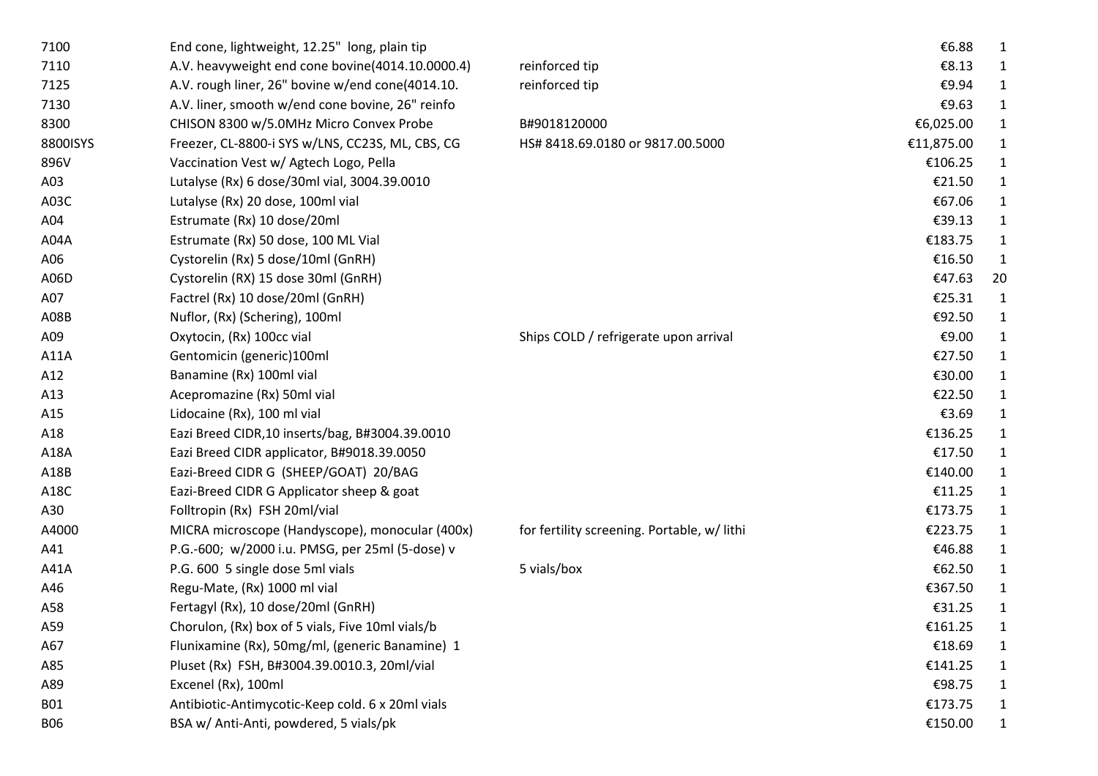| 7100       | End cone, lightweight, 12.25" long, plain tip    |                                             | €6.88      | 1            |
|------------|--------------------------------------------------|---------------------------------------------|------------|--------------|
| 7110       | A.V. heavyweight end cone bovine(4014.10.0000.4) | reinforced tip                              | €8.13      |              |
| 7125       | A.V. rough liner, 26" bovine w/end cone(4014.10. | reinforced tip                              | €9.94      | 1            |
| 7130       | A.V. liner, smooth w/end cone bovine, 26" reinfo |                                             | €9.63      | $\mathbf{1}$ |
| 8300       | CHISON 8300 w/5.0MHz Micro Convex Probe          | B#9018120000                                | €6,025.00  | 1            |
| 8800ISYS   | Freezer, CL-8800-i SYS w/LNS, CC23S, ML, CBS, CG | HS# 8418.69.0180 or 9817.00.5000            | €11,875.00 | 1            |
| 896V       | Vaccination Vest w/ Agtech Logo, Pella           |                                             | €106.25    | 1            |
| A03        | Lutalyse (Rx) 6 dose/30ml vial, 3004.39.0010     |                                             | €21.50     | 1            |
| A03C       | Lutalyse (Rx) 20 dose, 100ml vial                |                                             | €67.06     | 1            |
| A04        | Estrumate (Rx) 10 dose/20ml                      |                                             | €39.13     | 1            |
| A04A       | Estrumate (Rx) 50 dose, 100 ML Vial              |                                             | €183.75    | 1            |
| A06        | Cystorelin (Rx) 5 dose/10ml (GnRH)               |                                             | €16.50     | 1            |
| A06D       | Cystorelin (RX) 15 dose 30ml (GnRH)              |                                             | €47.63     | 20           |
| A07        | Factrel (Rx) 10 dose/20ml (GnRH)                 |                                             | €25.31     | 1            |
| A08B       | Nuflor, (Rx) (Schering), 100ml                   |                                             | €92.50     | 1            |
| A09        | Oxytocin, (Rx) 100cc vial                        | Ships COLD / refrigerate upon arrival       | €9.00      | 1            |
| A11A       | Gentomicin (generic)100ml                        |                                             | €27.50     | $\mathbf{1}$ |
| A12        | Banamine (Rx) 100ml vial                         |                                             | €30.00     | 1            |
| A13        | Acepromazine (Rx) 50ml vial                      |                                             | €22.50     | 1            |
| A15        | Lidocaine (Rx), 100 ml vial                      |                                             | €3.69      | 1            |
| A18        | Eazi Breed CIDR, 10 inserts/bag, B#3004.39.0010  |                                             | €136.25    | $\mathbf{1}$ |
| A18A       | Eazi Breed CIDR applicator, B#9018.39.0050       |                                             | €17.50     | 1            |
| A18B       | Eazi-Breed CIDR G (SHEEP/GOAT) 20/BAG            |                                             | €140.00    | 1            |
| A18C       | Eazi-Breed CIDR G Applicator sheep & goat        |                                             | €11.25     | 1            |
| A30        | Folltropin (Rx) FSH 20ml/vial                    |                                             | €173.75    | 1            |
| A4000      | MICRA microscope (Handyscope), monocular (400x)  | for fertility screening. Portable, w/ lithi | €223.75    | 1            |
| A41        | P.G.-600; w/2000 i.u. PMSG, per 25ml (5-dose) v  |                                             | €46.88     | 1            |
| A41A       | P.G. 600 5 single dose 5ml vials                 | 5 vials/box                                 | €62.50     | 1            |
| A46        | Regu-Mate, (Rx) 1000 ml vial                     |                                             | €367.50    | 1            |
| A58        | Fertagyl (Rx), 10 dose/20ml (GnRH)               |                                             | €31.25     | 1            |
| A59        | Chorulon, (Rx) box of 5 vials, Five 10ml vials/b |                                             | €161.25    |              |
| A67        | Flunixamine (Rx), 50mg/ml, (generic Banamine) 1  |                                             | €18.69     |              |
| A85        | Pluset (Rx) FSH, B#3004.39.0010.3, 20ml/vial     |                                             | €141.25    |              |
| A89        | Excenel (Rx), 100ml                              |                                             | €98.75     |              |
| <b>B01</b> | Antibiotic-Antimycotic-Keep cold. 6 x 20ml vials |                                             | €173.75    | 1            |
| <b>B06</b> | BSA w/ Anti-Anti, powdered, 5 vials/pk           |                                             | €150.00    |              |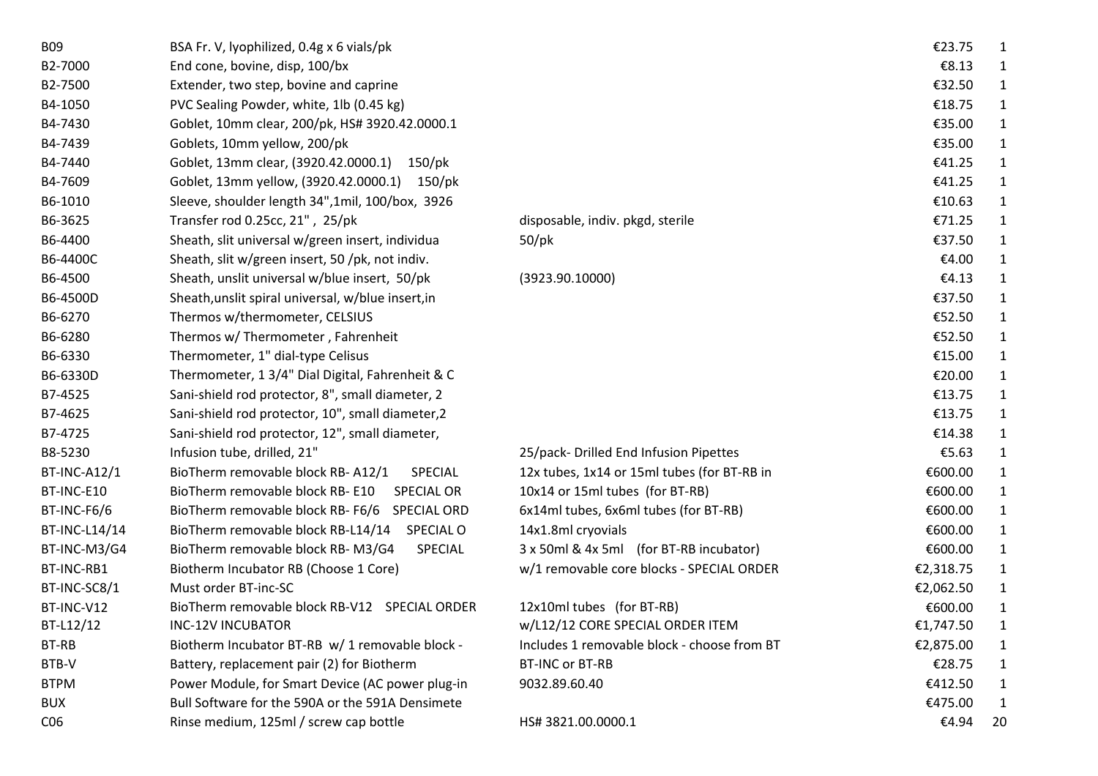| <b>BO9</b>          | BSA Fr. V, lyophilized, 0.4g x 6 vials/pk              |                                             | €23.75    | 1            |
|---------------------|--------------------------------------------------------|---------------------------------------------|-----------|--------------|
| B2-7000             | End cone, bovine, disp, 100/bx                         |                                             | €8.13     | 1            |
| B2-7500             | Extender, two step, bovine and caprine                 |                                             | €32.50    | $\mathbf{1}$ |
| B4-1050             | PVC Sealing Powder, white, 1lb (0.45 kg)               |                                             | €18.75    | $\mathbf{1}$ |
| B4-7430             | Goblet, 10mm clear, 200/pk, HS# 3920.42.0000.1         |                                             | €35.00    | 1            |
| B4-7439             | Goblets, 10mm yellow, 200/pk                           |                                             | €35.00    | 1            |
| B4-7440             | Goblet, 13mm clear, (3920.42.0000.1) 150/pk            |                                             | €41.25    | $\mathbf{1}$ |
| B4-7609             | Goblet, 13mm yellow, (3920.42.0000.1) 150/pk           |                                             | €41.25    | $\mathbf{1}$ |
| B6-1010             | Sleeve, shoulder length 34", 1mil, 100/box, 3926       |                                             | €10.63    | $\mathbf{1}$ |
| B6-3625             | Transfer rod 0.25cc, 21", 25/pk                        | disposable, indiv. pkgd, sterile            | €71.25    | $\mathbf{1}$ |
| B6-4400             | Sheath, slit universal w/green insert, individua       | 50/pk                                       | €37.50    | $\mathbf{1}$ |
| B6-4400C            | Sheath, slit w/green insert, 50 /pk, not indiv.        |                                             | €4.00     | $\mathbf{1}$ |
| B6-4500             | Sheath, unslit universal w/blue insert, 50/pk          | (3923.90.10000)                             | €4.13     | $\mathbf{1}$ |
| B6-4500D            | Sheath, unslit spiral universal, w/blue insert, in     |                                             | €37.50    | 1            |
| B6-6270             | Thermos w/thermometer, CELSIUS                         |                                             | €52.50    | 1            |
| B6-6280             | Thermos w/ Thermometer, Fahrenheit                     |                                             | €52.50    | 1            |
| B6-6330             | Thermometer, 1" dial-type Celisus                      |                                             | €15.00    | $\mathbf{1}$ |
| B6-6330D            | Thermometer, 1 3/4" Dial Digital, Fahrenheit & C       |                                             | €20.00    | $\mathbf{1}$ |
| B7-4525             | Sani-shield rod protector, 8", small diameter, 2       |                                             | €13.75    | 1            |
| B7-4625             | Sani-shield rod protector, 10", small diameter, 2      |                                             | €13.75    | $\mathbf{1}$ |
| B7-4725             | Sani-shield rod protector, 12", small diameter,        |                                             | €14.38    | $\mathbf{1}$ |
| B8-5230             | Infusion tube, drilled, 21"                            | 25/pack-Drilled End Infusion Pipettes       | €5.63     | $\mathbf{1}$ |
| <b>BT-INC-A12/1</b> | BioTherm removable block RB-A12/1<br><b>SPECIAL</b>    | 12x tubes, 1x14 or 15ml tubes (for BT-RB in | €600.00   | $\mathbf{1}$ |
| BT-INC-E10          | BioTherm removable block RB-E10<br><b>SPECIAL OR</b>   | 10x14 or 15ml tubes (for BT-RB)             | €600.00   | 1            |
| BT-INC-F6/6         | BioTherm removable block RB-F6/6 SPECIAL ORD           | 6x14ml tubes, 6x6ml tubes (for BT-RB)       | €600.00   | $\mathbf{1}$ |
| BT-INC-L14/14       | BioTherm removable block RB-L14/14<br><b>SPECIAL O</b> | 14x1.8ml cryovials                          | €600.00   | $\mathbf{1}$ |
| BT-INC-M3/G4        | BioTherm removable block RB-M3/G4<br>SPECIAL           | 3 x 50ml & 4x 5ml (for BT-RB incubator)     | €600.00   | $\mathbf{1}$ |
| BT-INC-RB1          | Biotherm Incubator RB (Choose 1 Core)                  | w/1 removable core blocks - SPECIAL ORDER   | €2,318.75 | $\mathbf{1}$ |
| BT-INC-SC8/1        | Must order BT-inc-SC                                   |                                             | €2,062.50 | $\mathbf{1}$ |
| BT-INC-V12          | BioTherm removable block RB-V12 SPECIAL ORDER          | 12x10ml tubes (for BT-RB)                   | €600.00   | 1            |
| BT-L12/12           | <b>INC-12V INCUBATOR</b>                               | w/L12/12 CORE SPECIAL ORDER ITEM            | €1,747.50 | $\mathbf{1}$ |
| BT-RB               | Biotherm Incubator BT-RB w/ 1 removable block -        | Includes 1 removable block - choose from BT | €2,875.00 | 1            |
| BTB-V               | Battery, replacement pair (2) for Biotherm             | BT-INC or BT-RB                             | €28.75    | 1            |
| <b>BTPM</b>         | Power Module, for Smart Device (AC power plug-in       | 9032.89.60.40                               | €412.50   | $\mathbf{1}$ |
| <b>BUX</b>          | Bull Software for the 590A or the 591A Densimete       |                                             | €475.00   | $\mathbf{1}$ |
| C <sub>06</sub>     | Rinse medium, 125ml / screw cap bottle                 | HS# 3821.00.0000.1                          | €4.94     | 20           |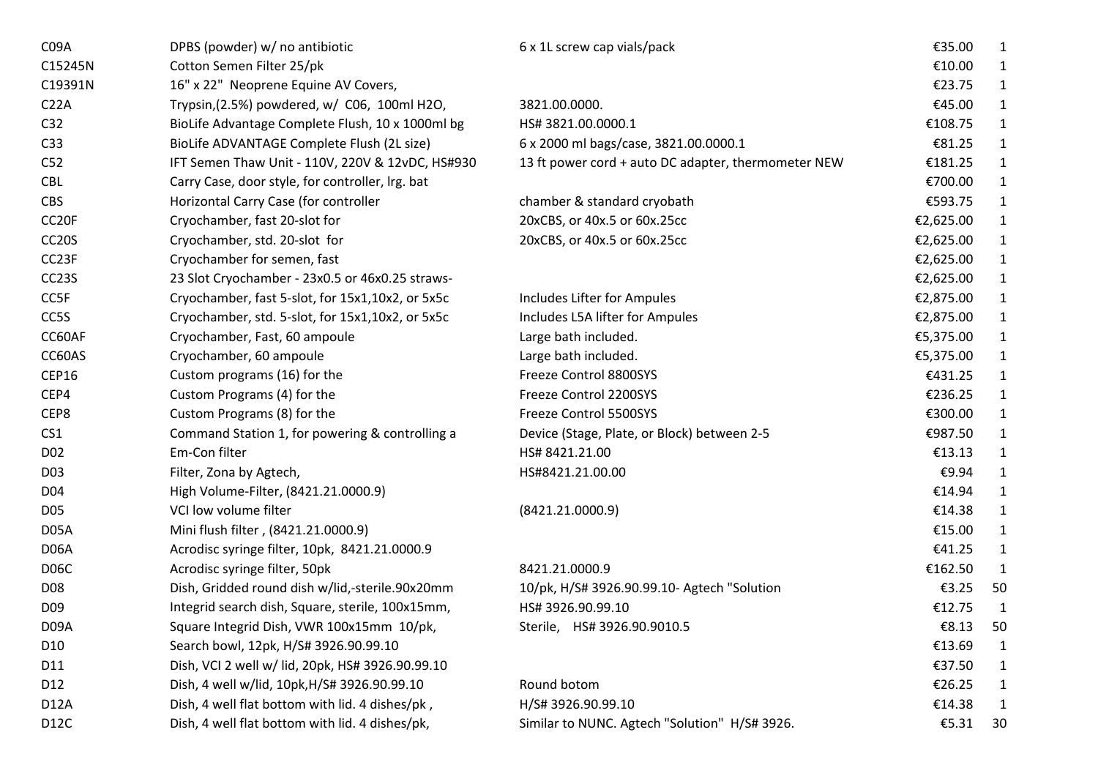| C09A               | DPBS (powder) w/ no antibiotic                   | 6 x 1L screw cap vials/pack                         | €35.00    | 1            |
|--------------------|--------------------------------------------------|-----------------------------------------------------|-----------|--------------|
| C15245N            | Cotton Semen Filter 25/pk                        |                                                     | €10.00    | 1            |
| C19391N            | 16" x 22" Neoprene Equine AV Covers,             |                                                     | €23.75    | $\mathbf{1}$ |
| C <sub>22A</sub>   | Trypsin, (2.5%) powdered, w/ C06, 100ml H2O,     | 3821.00.0000.                                       | €45.00    | $\mathbf{1}$ |
| C <sub>32</sub>    | BioLife Advantage Complete Flush, 10 x 1000ml bg | HS# 3821.00.0000.1                                  | €108.75   | $\mathbf{1}$ |
| C <sub>33</sub>    | BioLife ADVANTAGE Complete Flush (2L size)       | 6 x 2000 ml bags/case, 3821.00.0000.1               | €81.25    | $\mathbf{1}$ |
| C52                | IFT Semen Thaw Unit - 110V, 220V & 12vDC, HS#930 | 13 ft power cord + auto DC adapter, thermometer NEW | €181.25   | $\mathbf{1}$ |
| <b>CBL</b>         | Carry Case, door style, for controller, Irg. bat |                                                     | €700.00   | $\mathbf{1}$ |
| <b>CBS</b>         | Horizontal Carry Case (for controller            | chamber & standard cryobath                         | €593.75   | $\mathbf{1}$ |
| CC <sub>20F</sub>  | Cryochamber, fast 20-slot for                    | 20xCBS, or 40x.5 or 60x.25cc                        | €2,625.00 | $\mathbf{1}$ |
| CC <sub>2</sub> 0S | Cryochamber, std. 20-slot for                    | 20xCBS, or 40x.5 or 60x.25cc                        | €2,625.00 | $\mathbf{1}$ |
| CC <sub>23F</sub>  | Cryochamber for semen, fast                      |                                                     | €2,625.00 | $\mathbf{1}$ |
| CC <sub>23</sub> S | 23 Slot Cryochamber - 23x0.5 or 46x0.25 straws-  |                                                     | €2,625.00 | 1            |
| CC5F               | Cryochamber, fast 5-slot, for 15x1,10x2, or 5x5c | Includes Lifter for Ampules                         | €2,875.00 | $\mathbf{1}$ |
| CC5S               | Cryochamber, std. 5-slot, for 15x1,10x2, or 5x5c | Includes L5A lifter for Ampules                     | €2,875.00 | 1            |
| CC60AF             | Cryochamber, Fast, 60 ampoule                    | Large bath included.                                | €5,375.00 | 1            |
| CC60AS             | Cryochamber, 60 ampoule                          | Large bath included.                                | €5,375.00 | $\mathbf{1}$ |
| <b>CEP16</b>       | Custom programs (16) for the                     | Freeze Control 8800SYS                              | €431.25   | $\mathbf{1}$ |
| CEP4               | Custom Programs (4) for the                      | Freeze Control 2200SYS                              | €236.25   | $\mathbf{1}$ |
| CEP8               | Custom Programs (8) for the                      | Freeze Control 5500SYS                              | €300.00   | $\mathbf{1}$ |
| CS <sub>1</sub>    | Command Station 1, for powering & controlling a  | Device (Stage, Plate, or Block) between 2-5         | €987.50   | $\mathbf{1}$ |
| D <sub>02</sub>    | Em-Con filter                                    | HS# 8421.21.00                                      | €13.13    | $\mathbf{1}$ |
| D <sub>03</sub>    | Filter, Zona by Agtech,                          | HS#8421.21.00.00                                    | €9.94     | $\mathbf{1}$ |
| D04                | High Volume-Filter, (8421.21.0000.9)             |                                                     | €14.94    | $\mathbf{1}$ |
| <b>D05</b>         | VCI low volume filter                            | (8421.21.0000.9)                                    | €14.38    | $\mathbf{1}$ |
| D <sub>05</sub> A  | Mini flush filter, (8421.21.0000.9)              |                                                     | €15.00    | $\mathbf{1}$ |
| D <sub>06</sub> A  | Acrodisc syringe filter, 10pk, 8421.21.0000.9    |                                                     | €41.25    | $\mathbf{1}$ |
| D <sub>06</sub> C  | Acrodisc syringe filter, 50pk                    | 8421.21.0000.9                                      | €162.50   | $\mathbf{1}$ |
| D <sub>08</sub>    | Dish, Gridded round dish w/lid,-sterile.90x20mm  | 10/pk, H/S# 3926.90.99.10- Agtech "Solution         | €3.25     | 50           |
| D <sub>09</sub>    | Integrid search dish, Square, sterile, 100x15mm, | HS# 3926.90.99.10                                   | €12.75    | $\mathbf{1}$ |
| D09A               | Square Integrid Dish, VWR 100x15mm 10/pk,        | Sterile, HS# 3926.90.9010.5                         | €8.13     | 50           |
| D <sub>10</sub>    | Search bowl, 12pk, H/S# 3926.90.99.10            |                                                     | €13.69    | 1            |
| D11                | Dish, VCI 2 well w/ lid, 20pk, HS# 3926.90.99.10 |                                                     | €37.50    | 1            |
| D12                | Dish, 4 well w/lid, 10pk, H/S# 3926.90.99.10     | Round botom                                         | €26.25    | 1            |
| <b>D12A</b>        | Dish, 4 well flat bottom with lid. 4 dishes/pk,  | H/S# 3926.90.99.10                                  | €14.38    | 1            |
| D <sub>12</sub> C  | Dish, 4 well flat bottom with lid. 4 dishes/pk,  | Similar to NUNC. Agtech "Solution" H/S# 3926.       | €5.31     | 30           |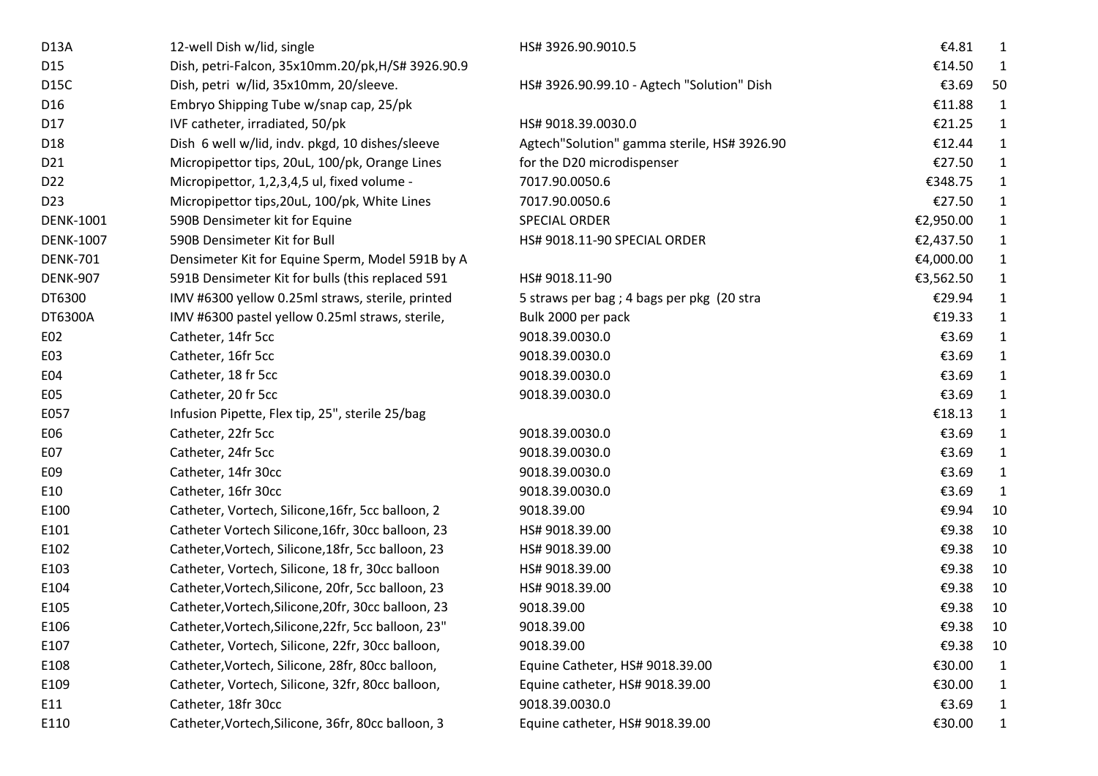| 12-well Dish w/lid, single                          | HS# 3926.90.9010.5                          | €4.81     | 1            |
|-----------------------------------------------------|---------------------------------------------|-----------|--------------|
| Dish, petri-Falcon, 35x10mm.20/pk, H/S# 3926.90.9   |                                             | €14.50    | -1           |
| Dish, petri w/lid, 35x10mm, 20/sleeve.              | HS# 3926.90.99.10 - Agtech "Solution" Dish  | €3.69     | 50           |
| Embryo Shipping Tube w/snap cap, 25/pk              |                                             | €11.88    | $\mathbf{1}$ |
| IVF catheter, irradiated, 50/pk                     | HS# 9018.39.0030.0                          | €21.25    | $\mathbf{1}$ |
| Dish 6 well w/lid, indv. pkgd, 10 dishes/sleeve     | Agtech"Solution" gamma sterile, HS# 3926.90 | €12.44    | $\mathbf{1}$ |
| Micropipettor tips, 20uL, 100/pk, Orange Lines      | for the D20 microdispenser                  | €27.50    | $\mathbf{1}$ |
| Micropipettor, 1,2,3,4,5 ul, fixed volume -         | 7017.90.0050.6                              | €348.75   | $\mathbf{1}$ |
| Micropipettor tips, 20uL, 100/pk, White Lines       | 7017.90.0050.6                              | €27.50    | $\mathbf{1}$ |
| 590B Densimeter kit for Equine                      | SPECIAL ORDER                               | €2,950.00 | $\mathbf{1}$ |
| 590B Densimeter Kit for Bull                        | HS# 9018.11-90 SPECIAL ORDER                | €2,437.50 | $\mathbf{1}$ |
| Densimeter Kit for Equine Sperm, Model 591B by A    |                                             | €4,000.00 | $\mathbf{1}$ |
| 591B Densimeter Kit for bulls (this replaced 591    | HS# 9018.11-90                              | €3,562.50 | $\mathbf{1}$ |
| IMV #6300 yellow 0.25ml straws, sterile, printed    | 5 straws per bag ; 4 bags per pkg (20 stra  | €29.94    | 1            |
| IMV #6300 pastel yellow 0.25ml straws, sterile,     | Bulk 2000 per pack                          | €19.33    | 1            |
| Catheter, 14fr 5cc                                  | 9018.39.0030.0                              | €3.69     | 1            |
| Catheter, 16fr 5cc                                  | 9018.39.0030.0                              | €3.69     | $\mathbf{1}$ |
| Catheter, 18 fr 5cc                                 | 9018.39.0030.0                              | €3.69     | 1            |
| Catheter, 20 fr 5cc                                 | 9018.39.0030.0                              | €3.69     | 1            |
| Infusion Pipette, Flex tip, 25", sterile 25/bag     |                                             | €18.13    | $\mathbf{1}$ |
| Catheter, 22fr 5cc                                  | 9018.39.0030.0                              | €3.69     | $\mathbf{1}$ |
| Catheter, 24fr 5cc                                  | 9018.39.0030.0                              | €3.69     | $\mathbf{1}$ |
| Catheter, 14fr 30cc                                 | 9018.39.0030.0                              | €3.69     | $\mathbf{1}$ |
| Catheter, 16fr 30cc                                 | 9018.39.0030.0                              | €3.69     | $\mathbf{1}$ |
| Catheter, Vortech, Silicone, 16fr, 5cc balloon, 2   | 9018.39.00                                  | €9.94     | 10           |
| Catheter Vortech Silicone, 16fr, 30cc balloon, 23   | HS# 9018.39.00                              | €9.38     | 10           |
| Catheter, Vortech, Silicone, 18fr, 5cc balloon, 23  | HS# 9018.39.00                              | €9.38     | 10           |
| Catheter, Vortech, Silicone, 18 fr, 30cc balloon    | HS# 9018.39.00                              | €9.38     | 10           |
| Catheter, Vortech, Silicone, 20fr, 5cc balloon, 23  | HS# 9018.39.00                              | €9.38     | 10           |
| Catheter, Vortech, Silicone, 20fr, 30cc balloon, 23 | 9018.39.00                                  | €9.38     | 10           |
| Catheter, Vortech, Silicone, 22fr, 5cc balloon, 23" | 9018.39.00                                  | €9.38     | 10           |
| Catheter, Vortech, Silicone, 22fr, 30cc balloon,    | 9018.39.00                                  | €9.38     | 10           |
| Catheter, Vortech, Silicone, 28fr, 80cc balloon,    | Equine Catheter, HS# 9018.39.00             | €30.00    | $\mathbf{1}$ |
| Catheter, Vortech, Silicone, 32fr, 80cc balloon,    | Equine catheter, HS# 9018.39.00             | €30.00    | 1            |
| Catheter, 18fr 30cc                                 | 9018.39.0030.0                              | €3.69     | 1            |
| Catheter, Vortech, Silicone, 36fr, 80cc balloon, 3  | Equine catheter, HS# 9018.39.00             | €30.00    | 1            |
|                                                     |                                             |           |              |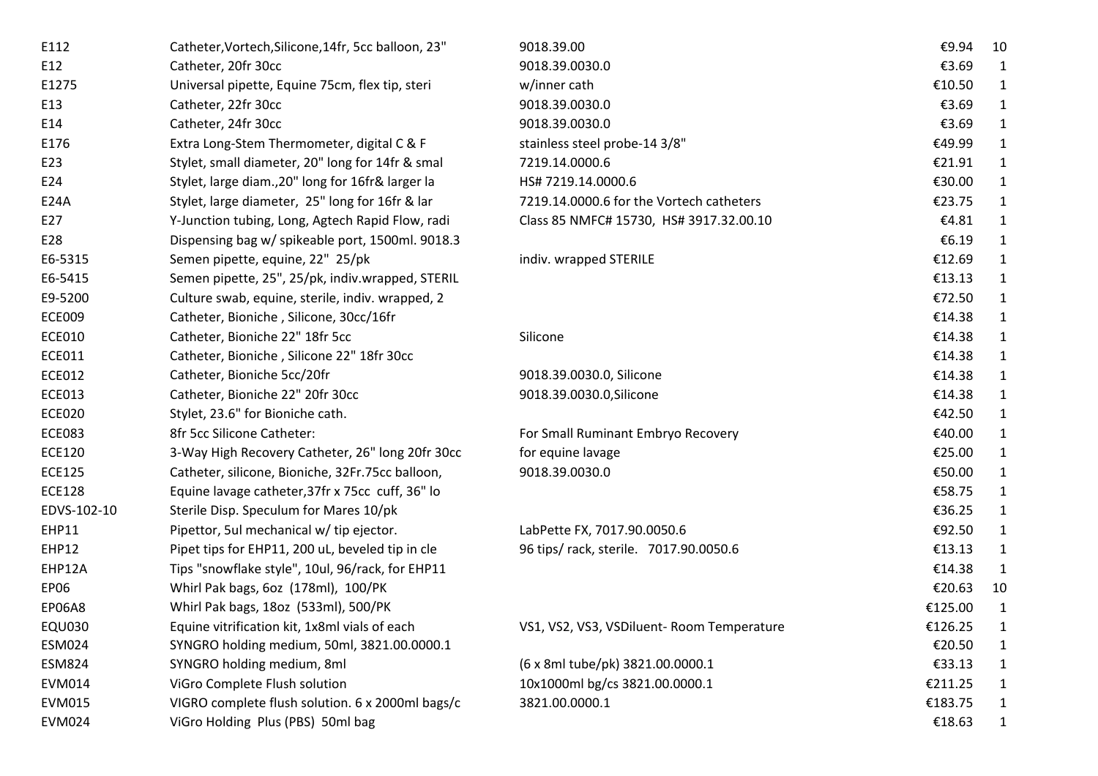| E112          | Catheter, Vortech, Silicone, 14fr, 5cc balloon, 23" | 9018.39.00                                 | €9.94    | 10           |
|---------------|-----------------------------------------------------|--------------------------------------------|----------|--------------|
| E12           | Catheter, 20fr 30cc                                 | 9018.39.0030.0                             | €3.69    | 1            |
| E1275         | Universal pipette, Equine 75cm, flex tip, steri     | w/inner cath                               | €10.50   | $\mathbf{1}$ |
| E13           | Catheter, 22fr 30cc                                 | 9018.39.0030.0                             | €3.69    | $\mathbf{1}$ |
| E14           | Catheter, 24fr 30cc                                 | 9018.39.0030.0                             | €3.69    | $\mathbf{1}$ |
| E176          | Extra Long-Stem Thermometer, digital C & F          | stainless steel probe-14 3/8"              | €49.99   | $\mathbf{1}$ |
| E23           | Stylet, small diameter, 20" long for 14fr & smal    | 7219.14.0000.6                             | €21.91   | $\mathbf{1}$ |
| E24           | Stylet, large diam., 20" long for 16fr& larger la   | HS# 7219.14.0000.6                         | €30.00   | $\mathbf{1}$ |
| E24A          | Stylet, large diameter, 25" long for 16fr & lar     | 7219.14.0000.6 for the Vortech catheters   | €23.75   | $\mathbf{1}$ |
| E27           | Y-Junction tubing, Long, Agtech Rapid Flow, radi    | Class 85 NMFC# 15730, HS# 3917.32.00.10    | €4.81    | $\mathbf{1}$ |
| E28           | Dispensing bag w/ spikeable port, 1500ml. 9018.3    |                                            | € $6.19$ | $\mathbf{1}$ |
| E6-5315       | Semen pipette, equine, 22" 25/pk                    | indiv. wrapped STERILE                     | €12.69   | $\mathbf{1}$ |
| E6-5415       | Semen pipette, 25", 25/pk, indiv.wrapped, STERIL    |                                            | €13.13   | $\mathbf{1}$ |
| E9-5200       | Culture swab, equine, sterile, indiv. wrapped, 2    |                                            | €72.50   | $\mathbf{1}$ |
| <b>ECE009</b> | Catheter, Bioniche, Silicone, 30cc/16fr             |                                            | €14.38   | $\mathbf{1}$ |
| <b>ECE010</b> | Catheter, Bioniche 22" 18fr 5cc                     | Silicone                                   | €14.38   | 1            |
| <b>ECE011</b> | Catheter, Bioniche, Silicone 22" 18fr 30cc          |                                            | €14.38   | $\mathbf{1}$ |
| <b>ECE012</b> | Catheter, Bioniche 5cc/20fr                         | 9018.39.0030.0, Silicone                   | €14.38   | $\mathbf{1}$ |
| <b>ECE013</b> | Catheter, Bioniche 22" 20fr 30cc                    | 9018.39.0030.0, Silicone                   | €14.38   | $\mathbf{1}$ |
| <b>ECE020</b> | Stylet, 23.6" for Bioniche cath.                    |                                            | €42.50   | $\mathbf{1}$ |
| <b>ECE083</b> | 8fr 5cc Silicone Catheter:                          | For Small Ruminant Embryo Recovery         | €40.00   | $\mathbf{1}$ |
| <b>ECE120</b> | 3-Way High Recovery Catheter, 26" long 20fr 30cc    | for equine lavage                          | €25.00   | $\mathbf{1}$ |
| <b>ECE125</b> | Catheter, silicone, Bioniche, 32Fr.75cc balloon,    | 9018.39.0030.0                             | €50.00   | $\mathbf{1}$ |
| <b>ECE128</b> | Equine lavage catheter, 37fr x 75cc cuff, 36" lo    |                                            | €58.75   | $\mathbf{1}$ |
| EDVS-102-10   | Sterile Disp. Speculum for Mares 10/pk              |                                            | €36.25   | $\mathbf{1}$ |
| <b>EHP11</b>  | Pipettor, 5ul mechanical w/ tip ejector.            | LabPette FX, 7017.90.0050.6                | €92.50   | $\mathbf{1}$ |
| <b>EHP12</b>  | Pipet tips for EHP11, 200 uL, beveled tip in cle    | 96 tips/ rack, sterile. 7017.90.0050.6     | €13.13   | $\mathbf{1}$ |
| EHP12A        | Tips "snowflake style", 10ul, 96/rack, for EHP11    |                                            | €14.38   | $\mathbf{1}$ |
| <b>EP06</b>   | Whirl Pak bags, 6oz (178ml), 100/PK                 |                                            | €20.63   | 10           |
| <b>EP06A8</b> | Whirl Pak bags, 18oz (533ml), 500/PK                |                                            | €125.00  | $\mathbf{1}$ |
| <b>EQU030</b> | Equine vitrification kit, 1x8ml vials of each       | VS1, VS2, VS3, VSDiluent- Room Temperature | €126.25  | 1            |
| <b>ESM024</b> | SYNGRO holding medium, 50ml, 3821.00.0000.1         |                                            | €20.50   | 1            |
| <b>ESM824</b> | SYNGRO holding medium, 8ml                          | (6 x 8ml tube/pk) 3821.00.0000.1           | €33.13   | 1            |
| EVM014        | ViGro Complete Flush solution                       | 10x1000ml bg/cs 3821.00.0000.1             | €211.25  | 1            |
| <b>EVM015</b> | VIGRO complete flush solution. 6 x 2000ml bags/c    | 3821.00.0000.1                             | €183.75  | 1            |
| <b>EVM024</b> | ViGro Holding Plus (PBS) 50ml bag                   |                                            | €18.63   | 1            |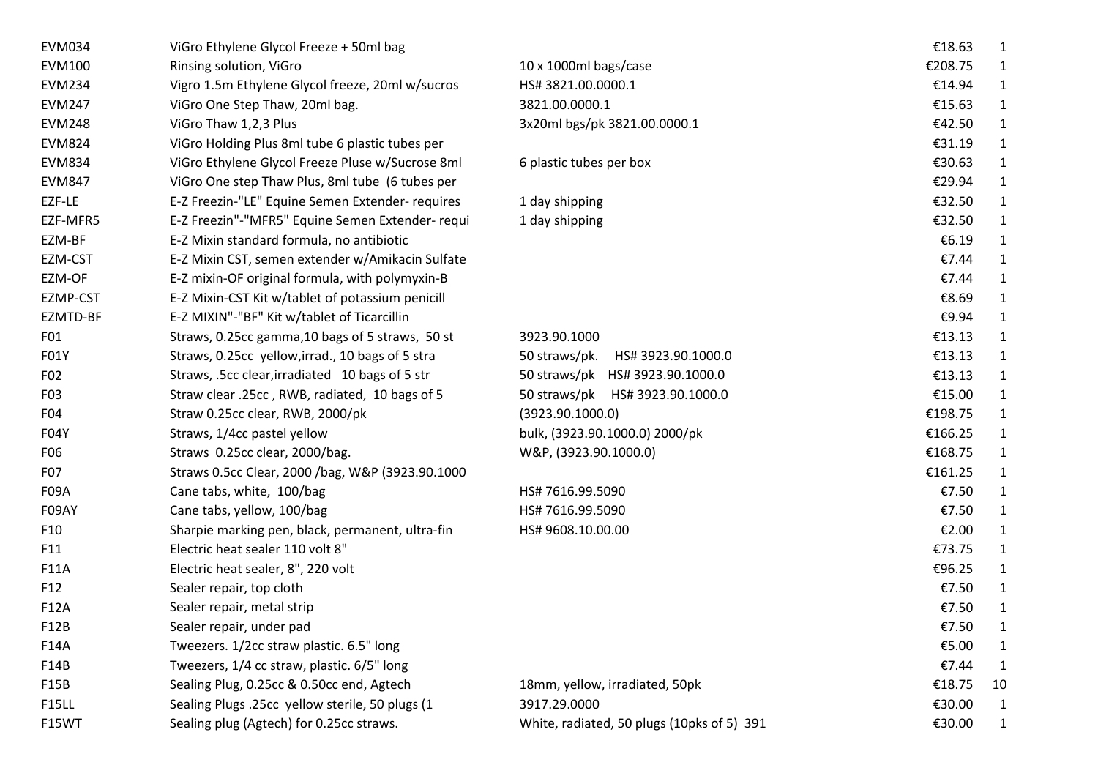| <b>EVM034</b> | ViGro Ethylene Glycol Freeze + 50ml bag          |                                            | €18.63  | 1           |
|---------------|--------------------------------------------------|--------------------------------------------|---------|-------------|
| EVM100        | Rinsing solution, ViGro                          | 10 x 1000ml bags/case                      | €208.75 |             |
| <b>EVM234</b> | Vigro 1.5m Ethylene Glycol freeze, 20ml w/sucros | HS#3821.00.0000.1                          | €14.94  |             |
| <b>EVM247</b> | ViGro One Step Thaw, 20ml bag.                   | 3821.00.0000.1                             | €15.63  | 1           |
| <b>EVM248</b> | ViGro Thaw 1,2,3 Plus                            | 3x20ml bgs/pk 3821.00.0000.1               | €42.50  | 1           |
| <b>EVM824</b> | ViGro Holding Plus 8ml tube 6 plastic tubes per  |                                            | €31.19  | 1           |
| <b>EVM834</b> | ViGro Ethylene Glycol Freeze Pluse w/Sucrose 8ml | 6 plastic tubes per box                    | €30.63  | 1           |
| <b>EVM847</b> | ViGro One step Thaw Plus, 8ml tube (6 tubes per  |                                            | €29.94  | 1           |
| EZF-LE        | E-Z Freezin-"LE" Equine Semen Extender- requires | 1 day shipping                             | €32.50  | 1           |
| EZF-MFR5      | E-Z Freezin"-"MFR5" Equine Semen Extender- requi | 1 day shipping                             | €32.50  | 1           |
| EZM-BF        | E-Z Mixin standard formula, no antibiotic        |                                            | €6.19   | 1           |
| EZM-CST       | E-Z Mixin CST, semen extender w/Amikacin Sulfate |                                            | €7.44   | 1           |
| EZM-OF        | E-Z mixin-OF original formula, with polymyxin-B  |                                            | €7.44   | 1           |
| EZMP-CST      | E-Z Mixin-CST Kit w/tablet of potassium penicill |                                            | €8.69   | 1           |
| EZMTD-BF      | E-Z MIXIN"-"BF" Kit w/tablet of Ticarcillin      |                                            | €9.94   | 1           |
| F01           | Straws, 0.25cc gamma, 10 bags of 5 straws, 50 st | 3923.90.1000                               | €13.13  | 1           |
| F01Y          | Straws, 0.25cc yellow, irrad., 10 bags of 5 stra | 50 straws/pk.<br>HS# 3923.90.1000.0        | €13.13  | 1           |
| F02           | Straws, .5cc clear, irradiated 10 bags of 5 str  | 50 straws/pk HS# 3923.90.1000.0            | €13.13  | 1           |
| F03           | Straw clear .25cc, RWB, radiated, 10 bags of 5   | 50 straws/pk HS# 3923.90.1000.0            | €15.00  | 1           |
| F04           | Straw 0.25cc clear, RWB, 2000/pk                 | (3923.90.1000.0)                           | €198.75 |             |
| F04Y          | Straws, 1/4cc pastel yellow                      | bulk, (3923.90.1000.0) 2000/pk             | €166.25 | 1           |
| F06           | Straws 0.25cc clear, 2000/bag.                   | W&P, (3923.90.1000.0)                      | €168.75 | 1           |
| F07           | Straws 0.5cc Clear, 2000 /bag, W&P (3923.90.1000 |                                            | €161.25 | 1           |
| F09A          | Cane tabs, white, 100/bag                        | HS# 7616.99.5090                           | €7.50   | 1           |
| F09AY         | Cane tabs, yellow, 100/bag                       | HS# 7616.99.5090                           | €7.50   | 1           |
| F10           | Sharpie marking pen, black, permanent, ultra-fin | HS# 9608.10.00.00                          | €2.00   | 1           |
| F11           | Electric heat sealer 110 volt 8"                 |                                            | €73.75  | 1           |
| F11A          | Electric heat sealer, 8", 220 volt               |                                            | €96.25  | 1           |
| F12           | Sealer repair, top cloth                         |                                            | €7.50   | 1           |
| F12A          | Sealer repair, metal strip                       |                                            | €7.50   | 1           |
| F12B          | Sealer repair, under pad                         |                                            | €7.50   | 1           |
| F14A          | Tweezers. 1/2cc straw plastic. 6.5" long         |                                            | €5.00   | 1           |
| F14B          | Tweezers, 1/4 cc straw, plastic. 6/5" long       |                                            | €7.44   | 1           |
| F15B          | Sealing Plug, 0.25cc & 0.50cc end, Agtech        | 18mm, yellow, irradiated, 50pk             | €18.75  | 10          |
| <b>F15LL</b>  | Sealing Plugs .25cc yellow sterile, 50 plugs (1  | 3917.29.0000                               | €30.00  | 1           |
| F15WT         | Sealing plug (Agtech) for 0.25cc straws.         | White, radiated, 50 plugs (10pks of 5) 391 | €30.00  | $\mathbf 1$ |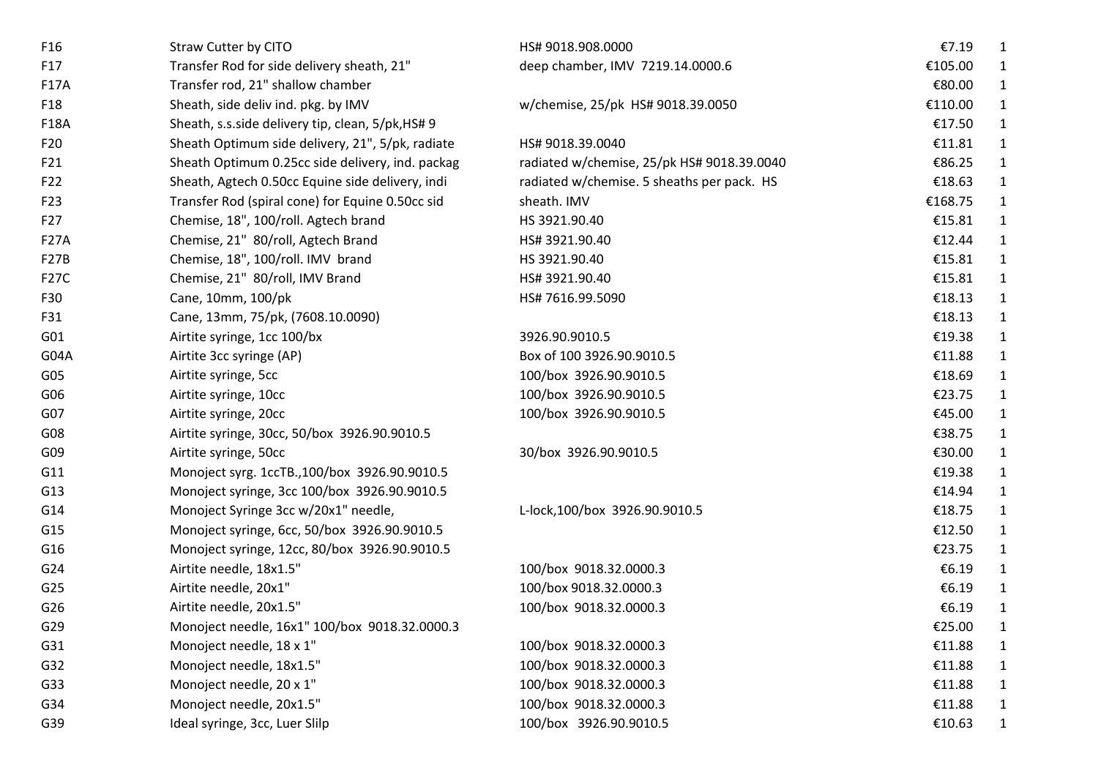| F <sub>16</sub>   | Straw Cutter by CITO                              | HS# 9018.908.0000                          | €7.19    | 1            |
|-------------------|---------------------------------------------------|--------------------------------------------|----------|--------------|
| F17               | Transfer Rod for side delivery sheath, 21"        | deep chamber, IMV 7219.14.0000.6           | €105.00  | 1            |
| <b>F17A</b>       | Transfer rod, 21" shallow chamber                 |                                            | €80.00   | 1            |
| F18               | Sheath, side deliv ind. pkg. by IMV               | w/chemise, 25/pk HS# 9018.39.0050          | €110.00  | $\mathbf{1}$ |
| <b>F18A</b>       | Sheath, s.s.side delivery tip, clean, 5/pk, HS# 9 |                                            | €17.50   | 1            |
| F20               | Sheath Optimum side delivery, 21", 5/pk, radiate  | HS# 9018.39.0040                           | €11.81   | 1            |
| F21               | Sheath Optimum 0.25cc side delivery, ind. packag  | radiated w/chemise, 25/pk HS# 9018.39.0040 | €86.25   | $\mathbf{1}$ |
| F22               | Sheath, Agtech 0.50cc Equine side delivery, indi  | radiated w/chemise. 5 sheaths per pack. HS | €18.63   | $\mathbf{1}$ |
| F <sub>23</sub>   | Transfer Rod (spiral cone) for Equine 0.50cc sid  | sheath. IMV                                | €168.75  | $\mathbf{1}$ |
| F27               | Chemise, 18", 100/roll. Agtech brand              | HS 3921.90.40                              | €15.81   | $\mathbf{1}$ |
| <b>F27A</b>       | Chemise, 21" 80/roll, Agtech Brand                | HS# 3921.90.40                             | €12.44   | $\mathbf{1}$ |
| F27B              | Chemise, 18", 100/roll. IMV brand                 | HS 3921.90.40                              | €15.81   | $\mathbf{1}$ |
| F <sub>27</sub> C | Chemise, 21" 80/roll, IMV Brand                   | HS# 3921.90.40                             | €15.81   | $\mathbf{1}$ |
| F30               | Cane, 10mm, 100/pk                                | HS# 7616.99.5090                           | €18.13   | $\mathbf{1}$ |
| F31               | Cane, 13mm, 75/pk, (7608.10.0090)                 |                                            | €18.13   | $\mathbf{1}$ |
| G01               | Airtite syringe, 1cc 100/bx                       | 3926.90.9010.5                             | €19.38   | $\mathbf{1}$ |
| G04A              | Airtite 3cc syringe (AP)                          | Box of 100 3926.90.9010.5                  | €11.88   | $\mathbf{1}$ |
| G05               | Airtite syringe, 5cc                              | 100/box 3926.90.9010.5                     | €18.69   | $\mathbf{1}$ |
| G06               | Airtite syringe, 10cc                             | 100/box 3926.90.9010.5                     | €23.75   | $\mathbf{1}$ |
| G <sub>07</sub>   | Airtite syringe, 20cc                             | 100/box 3926.90.9010.5                     | €45.00   | $\mathbf{1}$ |
| G08               | Airtite syringe, 30cc, 50/box 3926.90.9010.5      |                                            | €38.75   | $\mathbf{1}$ |
| G09               | Airtite syringe, 50cc                             | 30/box 3926.90.9010.5                      | €30.00   | $\mathbf{1}$ |
| G11               | Monoject syrg. 1ccTB.,100/box 3926.90.9010.5      |                                            | €19.38   | 1            |
| G13               | Monoject syringe, 3cc 100/box 3926.90.9010.5      |                                            | €14.94   | $\mathbf{1}$ |
| G14               | Monoject Syringe 3cc w/20x1" needle,              | L-lock,100/box 3926.90.9010.5              | €18.75   | $\mathbf{1}$ |
| G15               | Monoject syringe, 6cc, 50/box 3926.90.9010.5      |                                            | €12.50   | $\mathbf{1}$ |
| G16               | Monoject syringe, 12cc, 80/box 3926.90.9010.5     |                                            | €23.75   | $\mathbf{1}$ |
| G24               | Airtite needle, 18x1.5"                           | 100/box 9018.32.0000.3                     | €6.19    | $\mathbf{1}$ |
| G25               | Airtite needle, 20x1"                             | 100/box 9018.32.0000.3                     | € $6.19$ | $\mathbf{1}$ |
| G26               | Airtite needle, 20x1.5"                           | 100/box 9018.32.0000.3                     | €6.19    | 1            |
| G29               | Monoject needle, 16x1" 100/box 9018.32.0000.3     |                                            | €25.00   | 1            |
| G31               | Monoject needle, 18 x 1"                          | 100/box 9018.32.0000.3                     | €11.88   | 1            |
| G32               | Monoject needle, 18x1.5"                          | 100/box 9018.32.0000.3                     | €11.88   | $\mathbf{1}$ |
| G33               | Monoject needle, 20 x 1"                          | 100/box 9018.32.0000.3                     | €11.88   | $\mathbf{1}$ |
| G34               | Monoject needle, 20x1.5"                          | 100/box 9018.32.0000.3                     | €11.88   | $\mathbf{1}$ |
| G39               | Ideal syringe, 3cc, Luer Slilp                    | 100/box 3926.90.9010.5                     | €10.63   | $\mathbf{1}$ |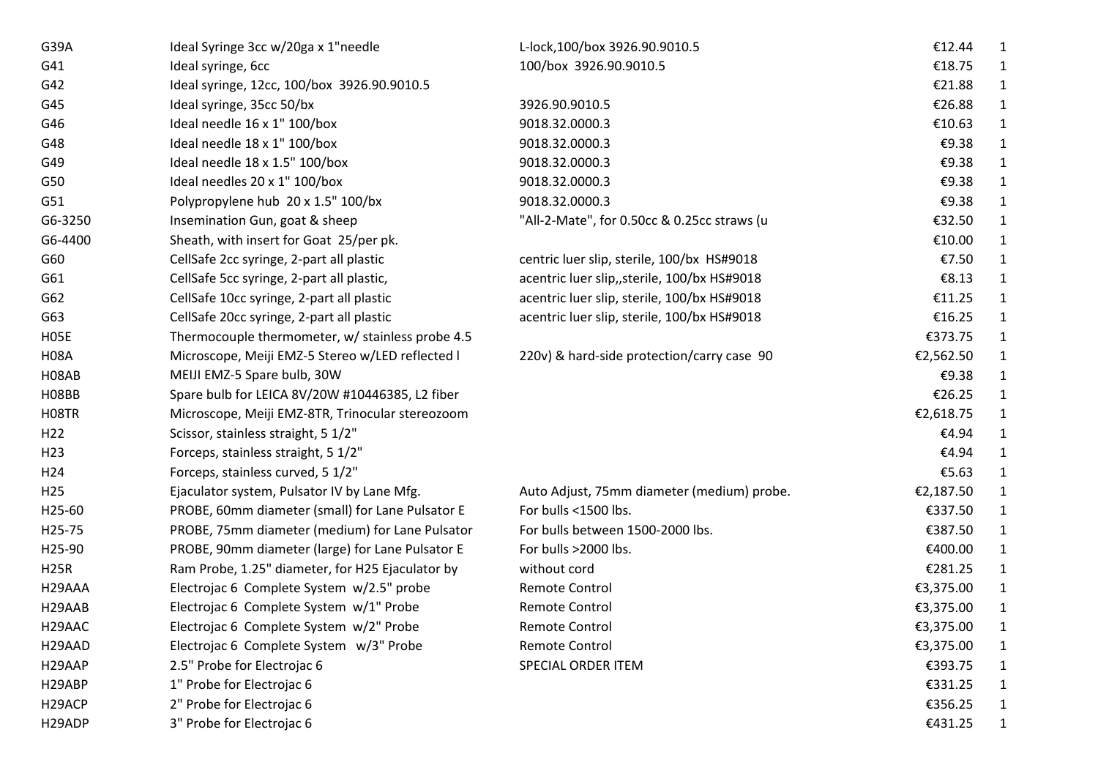| G39A                | Ideal Syringe 3cc w/20ga x 1"needle              | L-lock,100/box 3926.90.9010.5                | €12.44    | 1            |
|---------------------|--------------------------------------------------|----------------------------------------------|-----------|--------------|
| G41                 | Ideal syringe, 6cc                               | 100/box 3926.90.9010.5                       | €18.75    |              |
| G42                 | Ideal syringe, 12cc, 100/box 3926.90.9010.5      |                                              | €21.88    |              |
| G45                 | Ideal syringe, 35cc 50/bx                        | 3926.90.9010.5                               | €26.88    | 1            |
| G46                 | Ideal needle 16 x 1" 100/box                     | 9018.32.0000.3                               | €10.63    | 1            |
| G48                 | Ideal needle 18 x 1" 100/box                     | 9018.32.0000.3                               | €9.38     |              |
| G49                 | Ideal needle 18 x 1.5" 100/box                   | 9018.32.0000.3                               | €9.38     |              |
| G50                 | Ideal needles 20 x 1" 100/box                    | 9018.32.0000.3                               | €9.38     |              |
| G51                 | Polypropylene hub 20 x 1.5" 100/bx               | 9018.32.0000.3                               | €9.38     |              |
| G6-3250             | Insemination Gun, goat & sheep                   | "All-2-Mate", for 0.50cc & 0.25cc straws (u  | €32.50    |              |
| G6-4400             | Sheath, with insert for Goat 25/per pk.          |                                              | €10.00    |              |
| G60                 | CellSafe 2cc syringe, 2-part all plastic         | centric luer slip, sterile, 100/bx HS#9018   | €7.50     |              |
| G61                 | CellSafe 5cc syringe, 2-part all plastic,        | acentric luer slip,, sterile, 100/bx HS#9018 | €8.13     | $\mathbf{1}$ |
| G62                 | CellSafe 10cc syringe, 2-part all plastic        | acentric luer slip, sterile, 100/bx HS#9018  | €11.25    | 1            |
| G63                 | CellSafe 20cc syringe, 2-part all plastic        | acentric luer slip, sterile, 100/bx HS#9018  | €16.25    | 1            |
| H <sub>05</sub> E   | Thermocouple thermometer, w/ stainless probe 4.5 |                                              | €373.75   | 1            |
| <b>H08A</b>         | Microscope, Meiji EMZ-5 Stereo w/LED reflected I | 220v) & hard-side protection/carry case 90   | €2,562.50 | 1            |
| H08AB               | MEIJI EMZ-5 Spare bulb, 30W                      |                                              | €9.38     | 1            |
| H08BB               | Spare bulb for LEICA 8V/20W #10446385, L2 fiber  |                                              | €26.25    | 1            |
| H08TR               | Microscope, Meiji EMZ-8TR, Trinocular stereozoom |                                              | €2,618.75 |              |
| H <sub>22</sub>     | Scissor, stainless straight, 5 1/2"              |                                              | €4.94     | 1            |
| H <sub>23</sub>     | Forceps, stainless straight, 5 1/2"              |                                              | €4.94     |              |
| H24                 | Forceps, stainless curved, 5 1/2"                |                                              | €5.63     |              |
| H <sub>25</sub>     | Ejaculator system, Pulsator IV by Lane Mfg.      | Auto Adjust, 75mm diameter (medium) probe.   | €2,187.50 |              |
| H25-60              | PROBE, 60mm diameter (small) for Lane Pulsator E | For bulls <1500 lbs.                         | €337.50   |              |
| H25-75              | PROBE, 75mm diameter (medium) for Lane Pulsator  | For bulls between 1500-2000 lbs.             | €387.50   | 1            |
| H25-90              | PROBE, 90mm diameter (large) for Lane Pulsator E | For bulls >2000 lbs.                         | €400.00   | 1            |
| <b>H25R</b>         | Ram Probe, 1.25" diameter, for H25 Ejaculator by | without cord                                 | €281.25   |              |
| H <sub>29</sub> AAA | Electrojac 6 Complete System w/2.5" probe        | Remote Control                               | €3,375.00 | 1            |
| H29AAB              | Electrojac 6 Complete System w/1" Probe          | <b>Remote Control</b>                        | €3,375.00 | 1            |
| H <sub>29</sub> AAC | Electrojac 6 Complete System w/2" Probe          | Remote Control                               | €3,375.00 | $\mathbf 1$  |
| H29AAD              | Electrojac 6 Complete System w/3" Probe          | <b>Remote Control</b>                        | €3,375.00 | 1            |
| H29AAP              | 2.5" Probe for Electrojac 6                      | <b>SPECIAL ORDER ITEM</b>                    | €393.75   | 1            |
| H29ABP              | 1" Probe for Electrojac 6                        |                                              | €331.25   | $\mathbf 1$  |
| H <sub>29</sub> ACP | 2" Probe for Electrojac 6                        |                                              | €356.25   | 1            |
| H29ADP              | 3" Probe for Electrojac 6                        |                                              | €431.25   | 1            |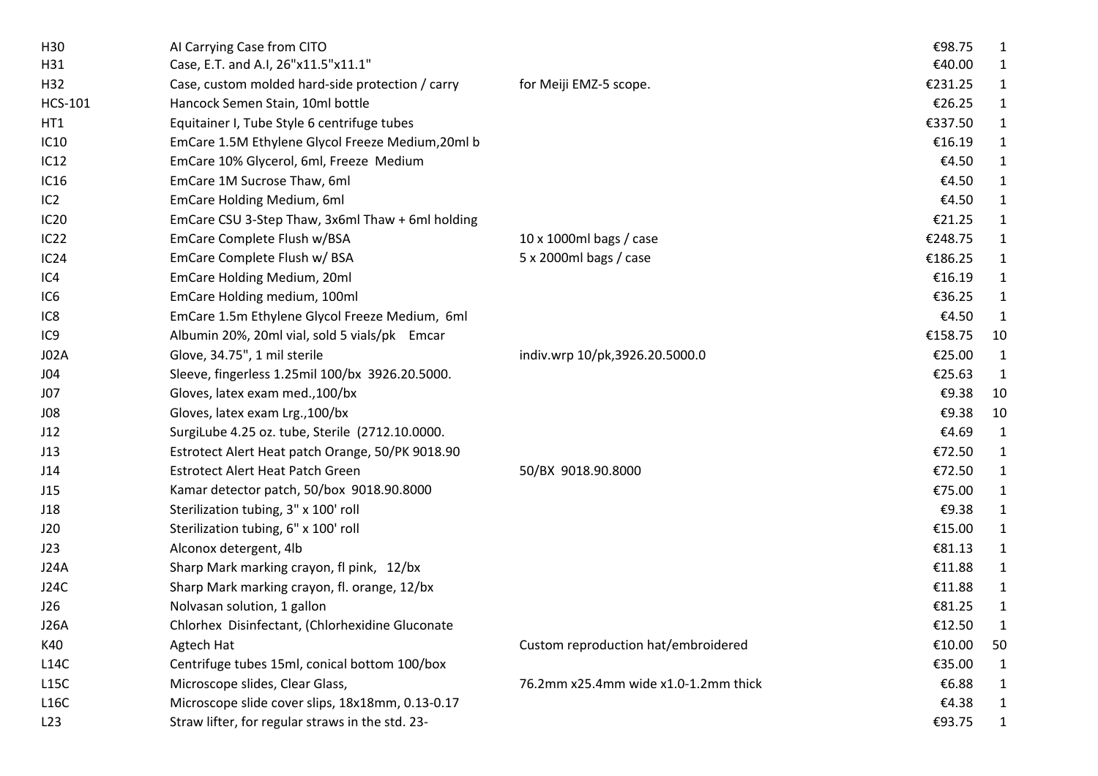| H <sub>30</sub>  | Al Carrying Case from CITO                        |                                      | €98.75  | 1            |
|------------------|---------------------------------------------------|--------------------------------------|---------|--------------|
| H31              | Case, E.T. and A.I, 26"x11.5"x11.1"               |                                      | €40.00  | 1            |
| H32              | Case, custom molded hard-side protection / carry  | for Meiji EMZ-5 scope.               | €231.25 | $\mathbf{1}$ |
| <b>HCS-101</b>   | Hancock Semen Stain, 10ml bottle                  |                                      | €26.25  | 1            |
| HT1              | Equitainer I, Tube Style 6 centrifuge tubes       |                                      | €337.50 | $\mathbf{1}$ |
| <b>IC10</b>      | EmCare 1.5M Ethylene Glycol Freeze Medium, 20ml b |                                      | €16.19  | 1            |
| IC12             | EmCare 10% Glycerol, 6ml, Freeze Medium           |                                      | €4.50   | $\mathbf{1}$ |
| <b>IC16</b>      | EmCare 1M Sucrose Thaw, 6ml                       |                                      | €4.50   | $\mathbf{1}$ |
| IC2              | EmCare Holding Medium, 6ml                        |                                      | €4.50   | $\mathbf{1}$ |
| IC <sub>20</sub> | EmCare CSU 3-Step Thaw, 3x6ml Thaw + 6ml holding  |                                      | €21.25  | $\mathbf{1}$ |
| IC22             | EmCare Complete Flush w/BSA                       | 10 x 1000ml bags / case              | €248.75 | $\mathbf{1}$ |
| IC24             | EmCare Complete Flush w/ BSA                      | 5 x 2000ml bags / case               | €186.25 | $\mathbf{1}$ |
| IC4              | EmCare Holding Medium, 20ml                       |                                      | €16.19  | $\mathbf{1}$ |
| IC <sub>6</sub>  | EmCare Holding medium, 100ml                      |                                      | €36.25  | $\mathbf{1}$ |
| IC <sub>8</sub>  | EmCare 1.5m Ethylene Glycol Freeze Medium, 6ml    |                                      | €4.50   | $\mathbf{1}$ |
| IC <sub>9</sub>  | Albumin 20%, 20ml vial, sold 5 vials/pk Emcar     |                                      | €158.75 | 10           |
| <b>J02A</b>      | Glove, 34.75", 1 mil sterile                      | indiv.wrp 10/pk,3926.20.5000.0       | €25.00  | $\mathbf{1}$ |
| J04              | Sleeve, fingerless 1.25mil 100/bx 3926.20.5000.   |                                      | €25.63  | 1            |
| J07              | Gloves, latex exam med., 100/bx                   |                                      | €9.38   | 10           |
| J08              | Gloves, latex exam Lrg., 100/bx                   |                                      | €9.38   | 10           |
| J12              | SurgiLube 4.25 oz. tube, Sterile (2712.10.0000.   |                                      | €4.69   | $\mathbf{1}$ |
| J13              | Estrotect Alert Heat patch Orange, 50/PK 9018.90  |                                      | €72.50  | $\mathbf{1}$ |
| J14              | <b>Estrotect Alert Heat Patch Green</b>           | 50/BX 9018.90.8000                   | €72.50  | 1            |
| J15              | Kamar detector patch, 50/box 9018.90.8000         |                                      | €75.00  | $\mathbf{1}$ |
| J18              | Sterilization tubing, 3" x 100' roll              |                                      | €9.38   | $\mathbf{1}$ |
| J20              | Sterilization tubing, 6" x 100' roll              |                                      | €15.00  | $\mathbf{1}$ |
| J23              | Alconox detergent, 4lb                            |                                      | €81.13  | $\mathbf{1}$ |
| <b>J24A</b>      | Sharp Mark marking crayon, fl pink, 12/bx         |                                      | €11.88  | $\mathbf{1}$ |
| J24C             | Sharp Mark marking crayon, fl. orange, 12/bx      |                                      | €11.88  | $\mathbf{1}$ |
| J26              | Nolvasan solution, 1 gallon                       |                                      | €81.25  | $\mathbf{1}$ |
| <b>J26A</b>      | Chlorhex Disinfectant, (Chlorhexidine Gluconate   |                                      | €12.50  | 1            |
| K40              | Agtech Hat                                        | Custom reproduction hat/embroidered  | €10.00  | 50           |
| L14C             | Centrifuge tubes 15ml, conical bottom 100/box     |                                      | €35.00  | $\mathbf{1}$ |
| L15C             | Microscope slides, Clear Glass,                   | 76.2mm x25.4mm wide x1.0-1.2mm thick | €6.88   | $\mathbf{1}$ |
| L16C             | Microscope slide cover slips, 18x18mm, 0.13-0.17  |                                      | €4.38   | $\mathbf{1}$ |
| L23              | Straw lifter, for regular straws in the std. 23-  |                                      | €93.75  | $\mathbf{1}$ |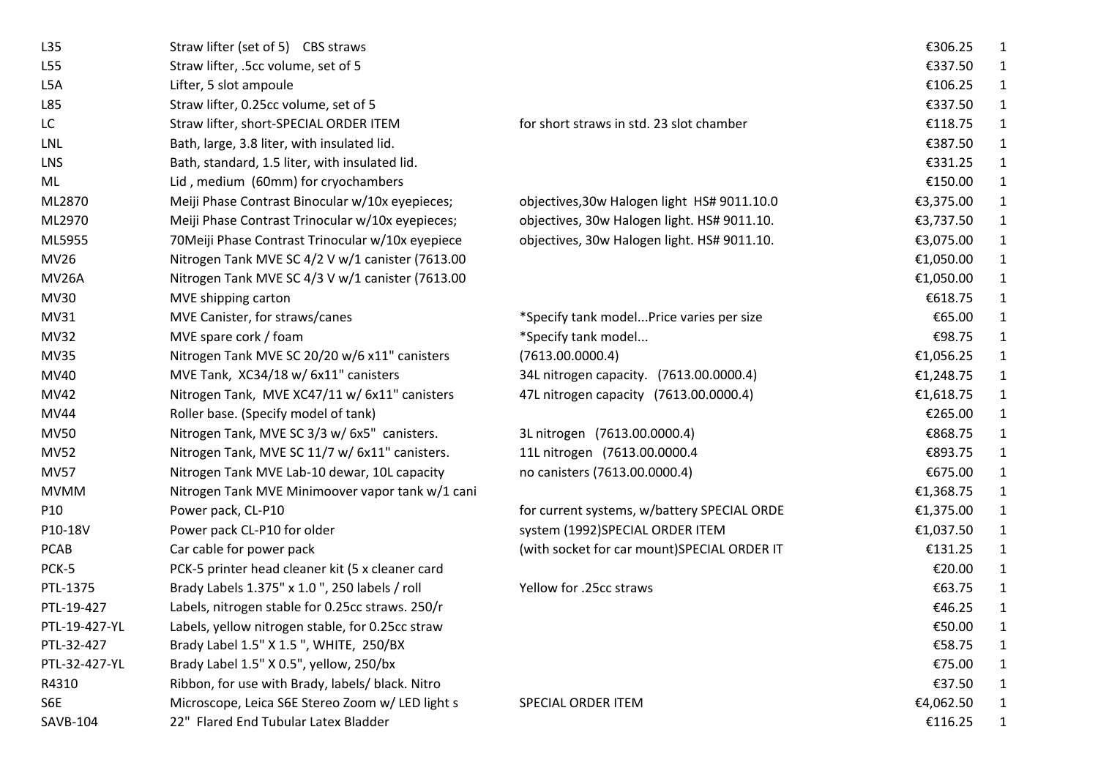| L35           | Straw lifter (set of 5) CBS straws                |                                             | €306.25   | 1            |
|---------------|---------------------------------------------------|---------------------------------------------|-----------|--------------|
| L55           | Straw lifter, .5cc volume, set of 5               |                                             | €337.50   |              |
| L5A           | Lifter, 5 slot ampoule                            |                                             | €106.25   | 1            |
| L85           | Straw lifter, 0.25cc volume, set of 5             |                                             | €337.50   | 1            |
| LC            | Straw lifter, short-SPECIAL ORDER ITEM            | for short straws in std. 23 slot chamber    | €118.75   | 1            |
| <b>LNL</b>    | Bath, large, 3.8 liter, with insulated lid.       |                                             | €387.50   | 1            |
| <b>LNS</b>    | Bath, standard, 1.5 liter, with insulated lid.    |                                             | €331.25   | 1            |
| ML            | Lid, medium (60mm) for cryochambers               |                                             | €150.00   | $\mathbf 1$  |
| ML2870        | Meiji Phase Contrast Binocular w/10x eyepieces;   | objectives, 30w Halogen light HS# 9011.10.0 | €3,375.00 | $\mathbf{1}$ |
| ML2970        | Meiji Phase Contrast Trinocular w/10x eyepieces;  | objectives, 30w Halogen light. HS# 9011.10. | €3,737.50 | $\mathbf{1}$ |
| ML5955        | 70 Meiji Phase Contrast Trinocular w/10x eyepiece | objectives, 30w Halogen light. HS# 9011.10. | €3,075.00 | $\mathbf{1}$ |
| MV26          | Nitrogen Tank MVE SC 4/2 V w/1 canister (7613.00  |                                             | €1,050.00 | $\mathbf 1$  |
| <b>MV26A</b>  | Nitrogen Tank MVE SC 4/3 V w/1 canister (7613.00  |                                             | €1,050.00 | $\mathbf{1}$ |
| <b>MV30</b>   | MVE shipping carton                               |                                             | €618.75   | 1            |
| MV31          | MVE Canister, for straws/canes                    | *Specify tank modelPrice varies per size    | €65.00    | 1            |
| <b>MV32</b>   | MVE spare cork / foam                             | *Specify tank model                         | €98.75    | $\mathbf{1}$ |
| <b>MV35</b>   | Nitrogen Tank MVE SC 20/20 w/6 x11" canisters     | (7613.00.0000.4)                            | €1,056.25 | $\mathbf{1}$ |
| MV40          | MVE Tank, XC34/18 w/ 6x11" canisters              | 34L nitrogen capacity. (7613.00.0000.4)     | €1,248.75 | $\mathbf{1}$ |
| MV42          | Nitrogen Tank, MVE XC47/11 w/ 6x11" canisters     | 47L nitrogen capacity (7613.00.0000.4)      | €1,618.75 | $\mathbf 1$  |
| <b>MV44</b>   | Roller base. (Specify model of tank)              |                                             | €265.00   | 1            |
| <b>MV50</b>   | Nitrogen Tank, MVE SC 3/3 w/ 6x5" canisters.      | 3L nitrogen (7613.00.0000.4)                | €868.75   | $\mathbf 1$  |
| <b>MV52</b>   | Nitrogen Tank, MVE SC 11/7 w/ 6x11" canisters.    | 11L nitrogen (7613.00.0000.4                | €893.75   | $\mathbf 1$  |
| <b>MV57</b>   | Nitrogen Tank MVE Lab-10 dewar, 10L capacity      | no canisters (7613.00.0000.4)               | €675.00   | $\mathbf 1$  |
| <b>MVMM</b>   | Nitrogen Tank MVE Minimoover vapor tank w/1 cani  |                                             | €1,368.75 | $\mathbf 1$  |
| P10           | Power pack, CL-P10                                | for current systems, w/battery SPECIAL ORDE | €1,375.00 | $\mathbf{1}$ |
| P10-18V       | Power pack CL-P10 for older                       | system (1992)SPECIAL ORDER ITEM             | €1,037.50 | $\mathbf{1}$ |
| <b>PCAB</b>   | Car cable for power pack                          | (with socket for car mount)SPECIAL ORDER IT | €131.25   | $\mathbf{1}$ |
| PCK-5         | PCK-5 printer head cleaner kit (5 x cleaner card  |                                             | €20.00    | $\mathbf 1$  |
| PTL-1375      | Brady Labels 1.375" x 1.0", 250 labels / roll     | Yellow for .25cc straws                     | €63.75    | 1            |
| PTL-19-427    | Labels, nitrogen stable for 0.25cc straws. 250/r  |                                             | €46.25    | 1            |
| PTL-19-427-YL | Labels, yellow nitrogen stable, for 0.25cc straw  |                                             | €50.00    |              |
| PTL-32-427    | Brady Label 1.5" X 1.5", WHITE, 250/BX            |                                             | €58.75    | 1            |
| PTL-32-427-YL | Brady Label 1.5" X 0.5", yellow, 250/bx           |                                             | €75.00    | 1            |
| R4310         | Ribbon, for use with Brady, labels/ black. Nitro  |                                             | €37.50    | $\mathbf 1$  |
| S6E           | Microscope, Leica S6E Stereo Zoom w/ LED light s  | SPECIAL ORDER ITEM                          | €4,062.50 | 1            |
| SAVB-104      | 22" Flared End Tubular Latex Bladder              |                                             | €116.25   | $\mathbf 1$  |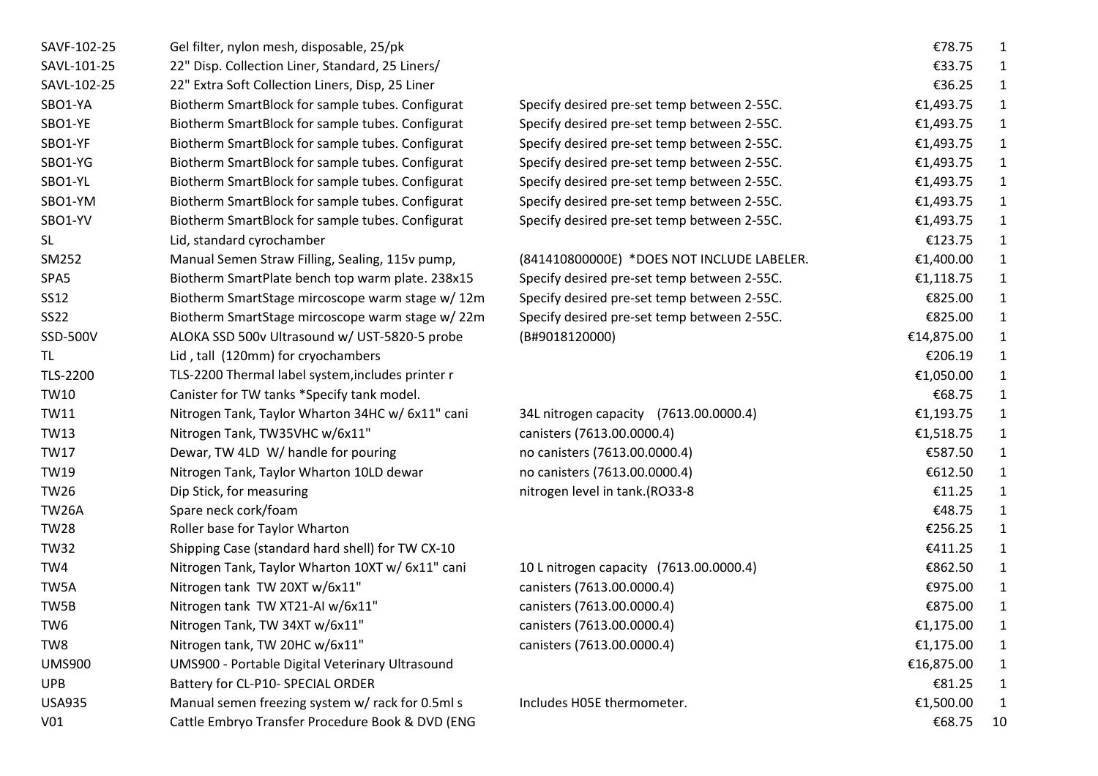| SAVF-102-25     | Gel filter, nylon mesh, disposable, 25/pk         |                                             | €78.75     | 1            |
|-----------------|---------------------------------------------------|---------------------------------------------|------------|--------------|
| SAVL-101-25     | 22" Disp. Collection Liner, Standard, 25 Liners/  |                                             | €33.75     | 1            |
| SAVL-102-25     | 22" Extra Soft Collection Liners, Disp, 25 Liner  |                                             | €36.25     | $\mathbf{1}$ |
| SBO1-YA         | Biotherm SmartBlock for sample tubes. Configurat  | Specify desired pre-set temp between 2-55C. | €1,493.75  | 1            |
| SBO1-YE         | Biotherm SmartBlock for sample tubes. Configurat  | Specify desired pre-set temp between 2-55C. | €1,493.75  | $\mathbf{1}$ |
| SBO1-YF         | Biotherm SmartBlock for sample tubes. Configurat  | Specify desired pre-set temp between 2-55C. | €1,493.75  | 1            |
| SBO1-YG         | Biotherm SmartBlock for sample tubes. Configurat  | Specify desired pre-set temp between 2-55C. | €1,493.75  | $\mathbf{1}$ |
| SBO1-YL         | Biotherm SmartBlock for sample tubes. Configurat  | Specify desired pre-set temp between 2-55C. | €1,493.75  | $\mathbf{1}$ |
| SBO1-YM         | Biotherm SmartBlock for sample tubes. Configurat  | Specify desired pre-set temp between 2-55C. | €1,493.75  | $\mathbf{1}$ |
| SBO1-YV         | Biotherm SmartBlock for sample tubes. Configurat  | Specify desired pre-set temp between 2-55C. | €1,493.75  | $\mathbf{1}$ |
| <b>SL</b>       | Lid, standard cyrochamber                         |                                             | €123.75    | $\mathbf{1}$ |
| SM252           | Manual Semen Straw Filling, Sealing, 115v pump,   | (841410800000E) *DOES NOT INCLUDE LABELER.  | €1,400.00  | $\mathbf{1}$ |
| SPA5            | Biotherm SmartPlate bench top warm plate. 238x15  | Specify desired pre-set temp between 2-55C. | €1,118.75  | $\mathbf{1}$ |
| SS12            | Biotherm SmartStage mircoscope warm stage w/ 12m  | Specify desired pre-set temp between 2-55C. | €825.00    | $\mathbf{1}$ |
| <b>SS22</b>     | Biotherm SmartStage mircoscope warm stage w/22m   | Specify desired pre-set temp between 2-55C. | €825.00    | $\mathbf{1}$ |
| SSD-500V        | ALOKA SSD 500v Ultrasound w/ UST-5820-5 probe     | (B#9018120000)                              | €14,875.00 | $\mathbf{1}$ |
| TL              | Lid, tall (120mm) for cryochambers                |                                             | €206.19    | $\mathbf{1}$ |
| <b>TLS-2200</b> | TLS-2200 Thermal label system, includes printer r |                                             | €1,050.00  | 1            |
| <b>TW10</b>     | Canister for TW tanks *Specify tank model.        |                                             | €68.75     | $\mathbf{1}$ |
| <b>TW11</b>     | Nitrogen Tank, Taylor Wharton 34HC w/ 6x11" cani  | 34L nitrogen capacity (7613.00.0000.4)      | €1,193.75  | $\mathbf{1}$ |
| <b>TW13</b>     | Nitrogen Tank, TW35VHC w/6x11"                    | canisters (7613.00.0000.4)                  | €1,518.75  | 1            |
| <b>TW17</b>     | Dewar, TW 4LD W/ handle for pouring               | no canisters (7613.00.0000.4)               | €587.50    | 1            |
| <b>TW19</b>     | Nitrogen Tank, Taylor Wharton 10LD dewar          | no canisters (7613.00.0000.4)               | €612.50    | 1            |
| <b>TW26</b>     | Dip Stick, for measuring                          | nitrogen level in tank.(RO33-8              | €11.25     | $\mathbf{1}$ |
| <b>TW26A</b>    | Spare neck cork/foam                              |                                             | €48.75     | $\mathbf{1}$ |
| <b>TW28</b>     | Roller base for Taylor Wharton                    |                                             | €256.25    | $\mathbf{1}$ |
| <b>TW32</b>     | Shipping Case (standard hard shell) for TW CX-10  |                                             | €411.25    | $\mathbf{1}$ |
| TW4             | Nitrogen Tank, Taylor Wharton 10XT w/ 6x11" cani  | 10 L nitrogen capacity (7613.00.0000.4)     | €862.50    | $\mathbf{1}$ |
| TW5A            | Nitrogen tank TW 20XT w/6x11"                     | canisters (7613.00.0000.4)                  | €975.00    | $\mathbf{1}$ |
| TW5B            | Nitrogen tank TW XT21-AI w/6x11"                  | canisters (7613.00.0000.4)                  | €875.00    | 1            |
| TW <sub>6</sub> | Nitrogen Tank, TW 34XT w/6x11"                    | canisters (7613.00.0000.4)                  | €1,175.00  | 1            |
| TW8             | Nitrogen tank, TW 20HC w/6x11"                    | canisters (7613.00.0000.4)                  | €1,175.00  | 1            |
| <b>UMS900</b>   | UMS900 - Portable Digital Veterinary Ultrasound   |                                             | €16,875.00 | $\mathbf{1}$ |
| <b>UPB</b>      | Battery for CL-P10- SPECIAL ORDER                 |                                             | €81.25     | $\mathbf{1}$ |
| <b>USA935</b>   | Manual semen freezing system w/ rack for 0.5ml s  | Includes H05E thermometer.                  | €1,500.00  | $\mathbf{1}$ |
| V <sub>01</sub> | Cattle Embryo Transfer Procedure Book & DVD (ENG  |                                             | €68.75     | 10           |